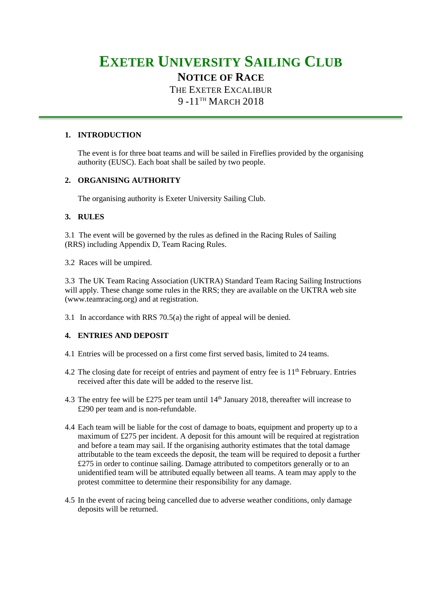# **EXETER UNIVERSITY SAILING CLUB**

# **NOTICE OF RACE**

THE EXETER EXCALIBUR 9 -11<sup>TH</sup> MARCH 2018

## **1. INTRODUCTION**

The event is for three boat teams and will be sailed in Fireflies provided by the organising authority (EUSC). Each boat shall be sailed by two people.

# **2. ORGANISING AUTHORITY**

The organising authority is Exeter University Sailing Club.

# **3. RULES**

3.1 The event will be governed by the rules as defined in the Racing Rules of Sailing (RRS) including Appendix D, Team Racing Rules.

3.2 Races will be umpired.

3.3 The UK Team Racing Association (UKTRA) Standard Team Racing Sailing Instructions will apply. These change some rules in the RRS; they are available on the UKTRA web site (www.teamracing.org) and at registration.

3.1 In accordance with RRS 70.5(a) the right of appeal will be denied.

# **4. ENTRIES AND DEPOSIT**

- 4.1 Entries will be processed on a first come first served basis, limited to 24 teams.
- 4.2 The closing date for receipt of entries and payment of entry fee is  $11<sup>th</sup>$  February. Entries received after this date will be added to the reserve list.
- 4.3 The entry fee will be £275 per team until  $14<sup>th</sup>$  January 2018, thereafter will increase to £290 per team and is non-refundable.
- 4.4 Each team will be liable for the cost of damage to boats, equipment and property up to a maximum of £275 per incident. A deposit for this amount will be required at registration and before a team may sail. If the organising authority estimates that the total damage attributable to the team exceeds the deposit, the team will be required to deposit a further £275 in order to continue sailing. Damage attributed to competitors generally or to an unidentified team will be attributed equally between all teams. A team may apply to the protest committee to determine their responsibility for any damage.
- 4.5 In the event of racing being cancelled due to adverse weather conditions, only damage deposits will be returned.